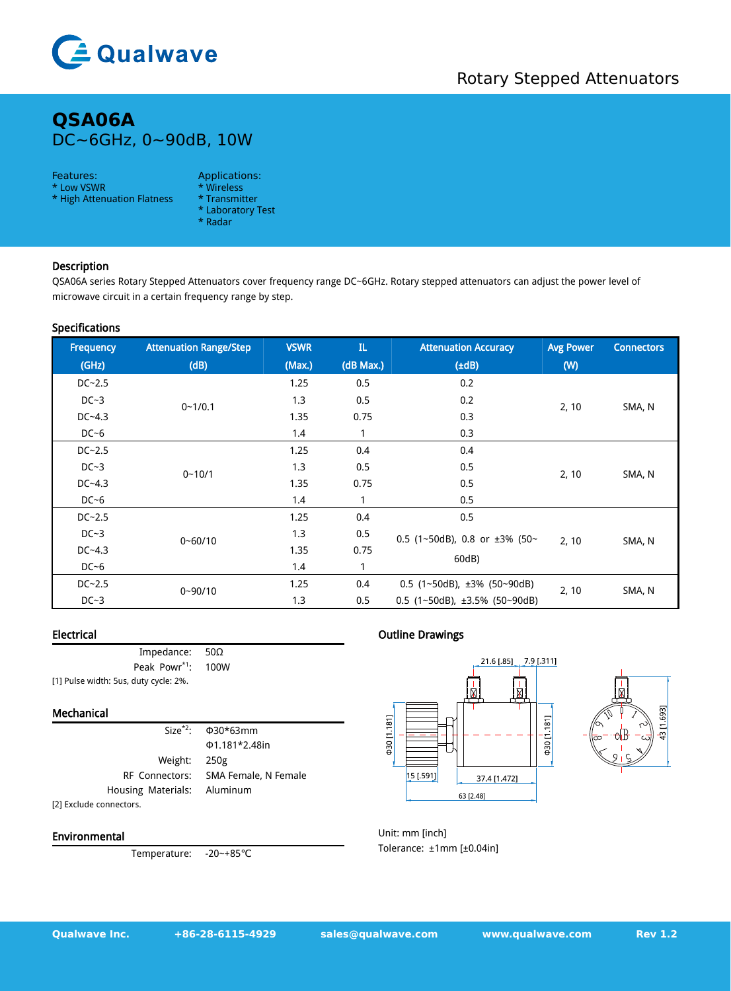

# **QSA06A** DC~6GHz, 0~90dB, 10W

#### Features: Applications:

\* Low VSWR \* Wireless<br>\* High Attenuation Flatness \* Transmitter \* High Attenuation Flatness

- 
- 
- \* Laboratory Test
- \* Radar

## Description

QSA06A series Rotary Stepped Attenuators cover frequency range DC~6GHz. Rotary stepped attenuators can adjust the power level of microwave circuit in a certain frequency range by step.

#### Specifications

| Frequency  | <b>Attenuation Range/Step</b> | <b>VSWR</b> | $\mathbf{L}$ | <b>Attenuation Accuracy</b>                       | <b>Avg Power</b> | <b>Connectors</b> |
|------------|-------------------------------|-------------|--------------|---------------------------------------------------|------------------|-------------------|
| (GHz)      | (dB)                          | (Max.)      | (dB Max.)    | $(\pm dB)$                                        | (W)              |                   |
| $DC-2.5$   | $0 - 1/0.1$                   | 1.25        | 0.5          | 0.2                                               | 2, 10            | SMA, N            |
| $DC-3$     |                               | 1.3         | 0.5          | 0.2                                               |                  |                   |
| $DC - 4.3$ |                               | 1.35        | 0.75         | 0.3                                               |                  |                   |
| $DC-6$     |                               | 1.4         |              | 0.3                                               |                  |                   |
| $DC-2.5$   | $0 - 10/1$                    | 1.25        | 0.4          | 0.4                                               | 2, 10            | SMA, N            |
| $DC-3$     |                               | 1.3         | 0.5          | 0.5                                               |                  |                   |
| $DC - 4.3$ |                               | 1.35        | 0.75         | 0.5                                               |                  |                   |
| $DC-6$     |                               | 1.4         |              | 0.5                                               |                  |                   |
| $DC-2.5$   | $0 - 60/10$                   | 1.25        | 0.4          | 0.5                                               | 2, 10            | SMA, N            |
| $DC-3$     |                               | 1.3         | 0.5          | 0.5 (1~50dB), 0.8 or $\pm 3\%$ (50~               |                  |                   |
| $DC - 4.3$ |                               | 1.35        | 0.75         |                                                   |                  |                   |
| $DC-6$     |                               | 1.4         |              | 60dB)                                             |                  |                   |
| $DC - 2.5$ | $0 - 90/10$                   | 1.25        | 0.4          | 0.5 $(1 \sim 50dB)$ , $\pm 3\%$ (50 $\sim 90dB$ ) | 2, 10            | SMA, N            |
| $DC-3$     |                               | 1.3         | 0.5          | 0.5 $(1 \sim 50dB)$ , ±3.5% $(50 \sim 90dB)$      |                  |                   |

### Electrical

| Impedance: $50\Omega$                 |  |
|---------------------------------------|--|
| Peak Powr <sup>*1</sup> : 100W        |  |
| [1] Pulse width: 5us, duty cycle: 2%. |  |

#### Mechanical

|                              | Size <sup>*2</sup> : $\Phi$ 30*63mm |
|------------------------------|-------------------------------------|
|                              | Φ1.181*2.48in                       |
| Weight: 250g                 |                                     |
| RF Connectors: SMA Female, N |                                     |
| Housing Materials: Aluminum  |                                     |
| [2] Exclude connectors.      |                                     |

Environmental

Temperature: -20~+85℃

## Outline Drawings





Unit: mm [inch] Tolerance: ±1mm [±0.04in]